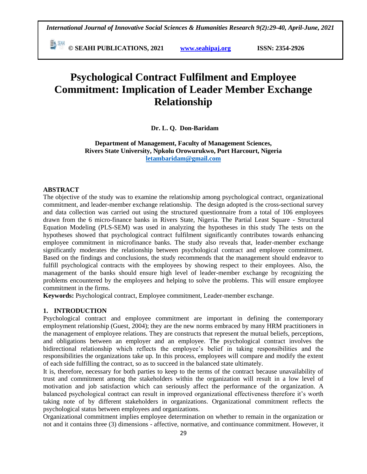**E**  $\frac{54}{30}$  **C** SEAHI PUBLICATIONS, 2021 *www.seahipaj.org* **ISSN: 2354-2926** 

# **Psychological Contract Fulfilment and Employee Commitment: Implication of Leader Member Exchange Relationship**

### **Dr. L. Q. Don-Baridam**

**Department of Management, Faculty of Management Sciences, Rivers State University, Npkolu Orowurukwo, Port Harcourt, Nigeria [letambaridam@gmail.com](mailto:letambaridam@gmail.com)**

#### **ABSTRACT**

The objective of the study was to examine the relationship among psychological contract, organizational commitment, and leader-member exchange relationship. The design adopted is the cross-sectional survey and data collection was carried out using the structured questionnaire from a total of 106 employees drawn from the 6 micro-finance banks in Rivers State, Nigeria. The Partial Least Square - Structural Equation Modeling (PLS-SEM) was used in analyzing the hypotheses in this study The tests on the hypotheses showed that psychological contract fulfilment significantly contributes towards enhancing employee commitment in microfinance banks. The study also reveals that, leader-member exchange significantly moderates the relationship between psychological contract and employee commitment. Based on the findings and conclusions, the study recommends that the management should endeavor to fulfill psychological contracts with the employees by showing respect to their employees. Also, the management of the banks should ensure high level of leader-member exchange by recognizing the problems encountered by the employees and helping to solve the problems. This will ensure employee commitment in the firms.

**Keywords:** Psychological contract, Employee commitment, Leader-member exchange.

## **1. INTRODUCTION**

Psychological contract and employee commitment are important in defining the contemporary employment relationship (Guest, 2004); they are the new norms embraced by many HRM practitioners in the management of employee relations. They are constructs that represent the mutual beliefs, perceptions, and obligations between an employer and an employee. The psychological contract involves the bidirectional relationship which reflects the employee"s belief in taking responsibilities and the responsibilities the organizations take up. In this process, employees will compare and modify the extent of each side fulfilling the contract, so as to succeed in the balanced state ultimately.

It is, therefore, necessary for both parties to keep to the terms of the contract because unavailability of trust and commitment among the stakeholders within the organization will result in a low level of motivation and job satisfaction which can seriously affect the performance of the organization. A balanced psychological contract can result in improved organizational effectiveness therefore it"s worth taking note of by different stakeholders in organizations. Organizational commitment reflects the psychological status between employees and organizations.

Organizational commitment implies employee determination on whether to remain in the organization or not and it contains three (3) dimensions - affective, normative, and continuance commitment. However, it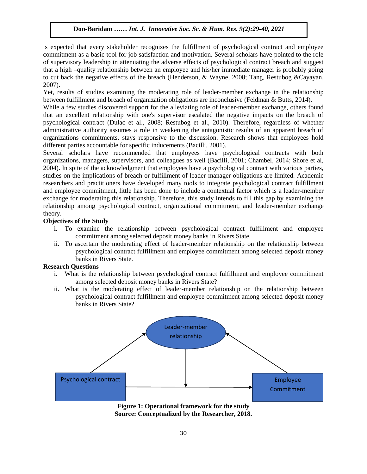is expected that every stakeholder recognizes the fulfillment of psychological contract and employee commitment as a basic tool for job satisfaction and motivation. Several scholars have pointed to the role of supervisory leadership in attenuating the adverse effects of psychological contract breach and suggest of supervisory leadership in attenuating the adverse effects of psychological contract breach and suggest that a high –quality relationship between an employee and his/her immediate manager is probably going to cut back the negative effects of the breach (Henderson, & Wayne, 2008; Tang, Restubog &Cayayan, 2007).

Figures, the set of studies examining the moderating role of leader-member exchange in the relationship between fulfillment and breach of organization obligations are inconclusive (Feldman & Butts, 2014).

While a few studies discovered support for the alleviating role of leader-member exchange, others found that an excellent relationship with one's supervisor escalated the negative impacts on the breach of psychological contract (Dulac et al., 2008; Restubog et al., 2010). Therefore, regardless of whether administrative authority assumes a role in weakening the antagonistic results of an apparent breach of organizations commitments, stays responsive to the discussion. Research shows that employees hold different parties accountable for specific inducements (Bacilli, 2001).

Several scholars have recommended that employees have psychological contracts with both organizations, managers, supervisors, and colleagues as well (Bacilli, 2001; Chambel, 2014; Shore et al, 2004). In spite of the acknowledgment that employees have a psychological contract with various parties, studies on the implications of breach or fulfillment of leader-manager obligations are limited. Academic researchers and practitioners have developed many tools to integrate psychological contract fulfillment and employee commitment, little has been done to include a contextual factor which is a leader-member exchange for moderating this relationship. Therefore, this study intends to fill this gap by examining the relationship among psychological contract, organizational commitment, and leader-member exchange theory.  $\mathcal{X}$ 

### **Objectives of the Study**

- i. To examine the relationship between psychological contract fulfillment and employee commitment among selected deposit money banks in Rivers State.
- ii. To ascertain the moderating effect of leader-member relationship on the relationship between psychological contract fulfillment and employee commitment among selected deposit money banks in Rivers State.

### **Research Questions**

- i. What is the relationship between psychological contract fulfillment and employee commitment among selected deposit money banks in Rivers State?
- ii. What is the moderating effect of leader-member relationship on the relationship between psychological contract fulfillment and employee commitment among selected deposit money banks in Rivers State?



**Figure 1: Operational framework for the study Source: Conceptualized by the Researcher, 2018.**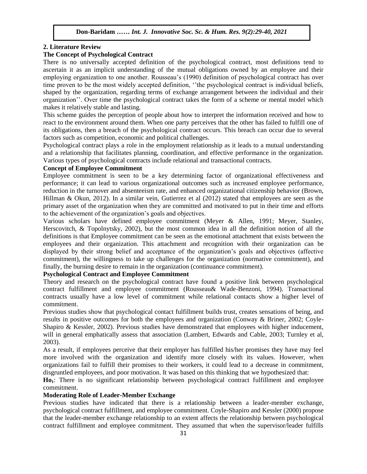### **2. Literature Review**

### **The Concept of Psychological Contract**

There is no universally accepted definition of the psychological contract, most definitions tend to ascertain it as an implicit understanding of the mutual obligations owned by an employee and their employing organization to one another. Rousseau"s (1990) definition of psychological contract has over time proven to be the most widely accepted definition, ""the psychological contract is individual beliefs, shaped by the organization, regarding terms of exchange arrangement between the individual and their organization"". Over time the psychological contract takes the form of a scheme or mental model which makes it relatively stable and lasting.

This scheme guides the perception of people about how to interpret the information received and how to react to the environment around them. When one party perceives that the other has failed to fulfill one of its obligations, then a breach of the psychological contract occurs. This breach can occur due to several factors such as competition, economic and political challenges.

Psychological contract plays a role in the employment relationship as it leads to a mutual understanding and a relationship that facilitates planning, coordination, and effective performance in the organization. Various types of psychological contracts include relational and transactional contracts.

### **Concept of Employee Commitment**

Employee commitment is seen to be a key determining factor of organizational effectiveness and performance; it can lead to various organizational outcomes such as increased employee performance, reduction in the turnover and absenteeism rate, and enhanced organizational citizenship behavior (Brown, Hillman & Okun, 2012). In a similar vein, Gutierrez et al (2012) stated that employees are seen as the primary asset of the organization when they are committed and motivated to put in their time and efforts to the achievement of the organization's goals and objectives.

Various scholars have defined employee commitment (Meyer & Allen, 1991; Meyer, Stanley, Herscovitch, & Topolnytsky, 2002), but the most common idea in all the definition notion of all the definitions is that Employee commitment can be seen as the emotional attachment that exists between the employees and their organization. This attachment and recognition with their organization can be displayed by their strong belief and acceptance of the organization"s goals and objectives (affective commitment), the willingness to take up challenges for the organization (normative commitment), and finally, the burning desire to remain in the organization (continuance commitment).

### **Psychological Contract and Employee Commitment**

Theory and research on the psychological contract have found a positive link between psychological contract fulfillment and employee commitment (Rousseau& Wade-Benzoni, 1994). Transactional contracts usually have a low level of commitment while relational contacts show a higher level of commitment.

Previous studies show that psychological contact fulfillment builds trust, creates sensations of being, and results in positive outcomes for both the employees and organization (Conway & Briner, 2002; Coyle-Shapiro & Kessler, 2002). Previous studies have demonstrated that employees with higher inducement, will in general emphatically assess that association (Lambert, Edwards and Cable, 2003; Turnley et al, 2003).

As a result, if employees perceive that their employer has fulfilled his/her promises they have may feel more involved with the organization and identify more closely with its values. However, when organizations fail to fulfill their promises to their workers, it could lead to a decrease in commitment, disgruntled employees, and poor motivation. It was based on this thinking that we hypothesized that:

**Ho1**: There is no significant relationship between psychological contract fulfillment and employee commitment.

## **Moderating Role of Leader-Member Exchange**

Previous studies have indicated that there is a relationship between a leader-member exchange, psychological contract fulfillment, and employee commitment. Coyle-Shapiro and Kessler (2000) propose that the leader-member exchange relationship to an extent affects the relationship between psychological contract fulfillment and employee commitment. They assumed that when the supervisor/leader fulfills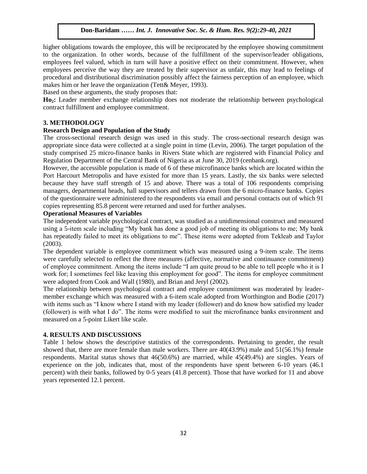higher obligations towards the employee, this will be reciprocated by the employee showing commitment to the organization. In other words, because of the fulfillment of the supervisor/leader obligations, employees feel valued, which in turn will have a positive effect on their commitment. However, when employees perceive the way they are treated by their supervisor as unfair, this may lead to feelings of procedural and distributional discrimination possibly affect the fairness perception of an employee, which makes him or her leave the organization (Tett& Meyer, 1993).

Based on these arguments, the study proposes that:

**Ho2:** Leader member exchange relationship does not moderate the relationship between psychological contract fulfillment and employee commitment.

## **3. METHODOLOGY**

### **Research Design and Population of the Study**

The cross-sectional research design was used in this study. The cross-sectional research design was appropriate since data were collected at a single point in time (Levin, 2006). The target population of the study comprised 25 micro-finance banks in Rivers State which are registered with Financial Policy and Regulation Department of the Central Bank of Nigeria as at June 30, 2019 (cenbank.org).

However, the accessible population is made of 6 of these microfinance banks which are located within the Port Harcourt Metropolis and have existed for more than 15 years. Lastly, the six banks were selected because they have staff strength of 15 and above. There was a total of 106 respondents comprising managers, departmental heads, hall supervisors and tellers drawn from the 6 micro-finance banks. Copies of the questionnaire were administered to the respondents via email and personal contacts out of which 91 copies representing 85.8 percent were returned and used for further analyses.

### **Operational Measures of Variables**

The independent variable psychological contract, was studied as a unidimensional construct and measured using a 5-item scale including "My bank has done a good job of meeting its obligations to me; My bank has repeatedly failed to meet its obligations to me". These items were adopted from Tekleab and Taylor (2003).

The dependent variable is employee commitment which was measured using a 9-item scale. The items were carefully selected to reflect the three measures (affective, normative and continuance commitment) of employee commitment. Among the items include "I am quite proud to be able to tell people who it is I work for; I sometimes feel like leaving this employment for good". The items for employee commitment were adopted from Cook and Wall (1980), and Brian and Jeryl (2002).

The relationship between psychological contract and employee commitment was moderated by leadermember exchange which was measured with a 6-item scale adopted from Worthington and Bodie (2017) with items such as "I know where I stand with my leader (follower) and do know how satisfied my leader (follower) is with what I do". The items were modified to suit the microfinance banks environment and measured on a 5-point Likert like scale.

### **4. RESULTS AND DISCUSSIONS**

Table 1 below shows the descriptive statistics of the correspondents. Pertaining to gender, the result showed that, there are more female than male workers. There are 40(43.9%) male and 51(56.1%) female respondents. Marital status shows that 46(50.6%) are married, while 45(49.4%) are singles. Years of experience on the job, indicates that, most of the respondents have spent between 6-10 years (46.1 percent) with their banks, followed by 0-5 years (41.8 percent). Those that have worked for 11 and above years represented 12.1 percent.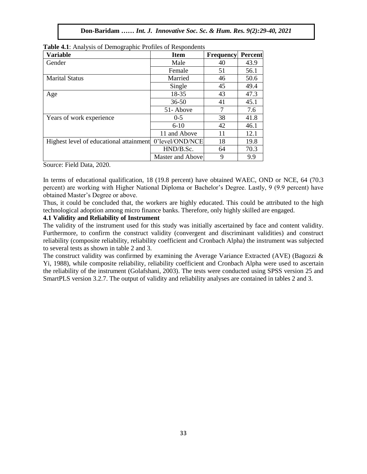| <b>Variable</b>                         | <b>Item</b>      | <b>Frequency</b> | Percent |
|-----------------------------------------|------------------|------------------|---------|
| Gender                                  | Male             | 40               | 43.9    |
|                                         | Female           | 51               | 56.1    |
| <b>Marital Status</b>                   | Married          | 46               | 50.6    |
|                                         | Single           | 45               | 49.4    |
| Age                                     | 18-35            | 43               | 47.3    |
|                                         | $36 - 50$        | 41               | 45.1    |
|                                         | 51-Above         |                  | 7.6     |
| Years of work experience                | $0 - 5$          | 38               | 41.8    |
|                                         | $6-10$           | 42               | 46.1    |
|                                         | 11 and Above     | 11               | 12.1    |
| Highest level of educational attainment | 0'level/OND/NCE  | 18               | 19.8    |
|                                         | HND/B.Sc.        | 64               | 70.3    |
|                                         | Master and Above | 9                | 9.9     |

|  |  |  |  |  |  |  | Table 4.1: Analysis of Demographic Profiles of Respondents |  |
|--|--|--|--|--|--|--|------------------------------------------------------------|--|
|--|--|--|--|--|--|--|------------------------------------------------------------|--|

Source: Field Data, 2020.

In terms of educational qualification,  $18$  (19.8 percent) have obtained WAEC, OND or NCE,  $64$  (70.3) percent) are working with Higher National Diploma or Bachelor"s Degree. Lastly, 9 (9.9 percent) have obtained Master"s Degree or above.

Thus, it could be concluded that, the workers are highly educated. This could be attributed to the high technological adoption among micro finance banks. Therefore, only highly skilled are engaged.

## **4.1 Validity and Reliability of Instrument**

The validity of the instrument used for this study was initially ascertained by face and content validity. Furthermore, to confirm the construct validity (convergent and discriminant validities) and construct reliability (composite reliability, reliability coefficient and Cronbach Alpha) the instrument was subjected to several tests as shown in table 2 and 3.

The construct validity was confirmed by examining the Average Variance Extracted (AVE) (Bagozzi & Yi, 1988), while composite reliability, reliability coefficient and Cronbach Alpha were used to ascertain the reliability of the instrument (Golafshani, 2003). The tests were conducted using SPSS version 25 and SmartPLS version 3.2.7. The output of validity and reliability analyses are contained in tables 2 and 3.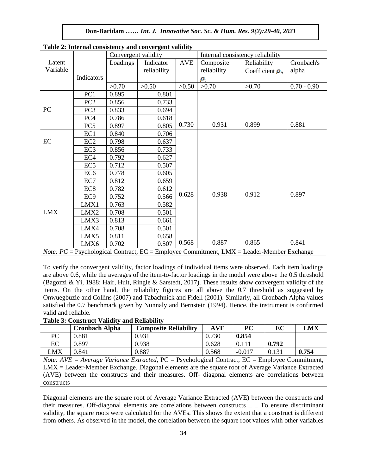|            |                 | Convergent validity |             |            | Internal consistency reliability |                                                                                                      |               |
|------------|-----------------|---------------------|-------------|------------|----------------------------------|------------------------------------------------------------------------------------------------------|---------------|
| Latent     |                 | Loadings            | Indicator   | <b>AVE</b> | Composite                        | Reliability                                                                                          | Cronbach's    |
| Variable   |                 |                     | reliability |            | reliability                      | Coefficient $\rho_A$                                                                                 | alpha         |
|            | Indicators      |                     |             |            | $\bm{\rho}_c$                    |                                                                                                      |               |
|            |                 | >0.70               | >0.50       | >0.50      | >0.70                            | >0.70                                                                                                | $0.70 - 0.90$ |
|            | PC1             | 0.895               | 0.801       |            |                                  |                                                                                                      |               |
|            | PC <sub>2</sub> | 0.856               | 0.733       |            |                                  |                                                                                                      |               |
| PC         | PC <sub>3</sub> | 0.833               | 0.694       |            |                                  |                                                                                                      |               |
|            | PC <sub>4</sub> | 0.786               | 0.618       |            |                                  |                                                                                                      |               |
|            | PC <sub>5</sub> | 0.897               | 0.805       | 0.730      | 0.931                            | 0.899                                                                                                | 0.881         |
|            | EC1             | 0.840               | 0.706       |            |                                  |                                                                                                      |               |
| EC         | EC <sub>2</sub> | 0.798               | 0.637       |            |                                  |                                                                                                      |               |
|            | EC <sub>3</sub> | 0.856               | 0.733       |            |                                  |                                                                                                      |               |
|            | EC <sub>4</sub> | 0.792               | 0.627       |            |                                  |                                                                                                      |               |
|            | EC <sub>5</sub> | 0.712               | 0.507       |            |                                  |                                                                                                      |               |
|            | EC <sub>6</sub> | 0.778               | 0.605       |            |                                  |                                                                                                      |               |
|            | EC7             | 0.812               | 0.659       |            |                                  |                                                                                                      |               |
|            | EC <sub>8</sub> | 0.782               | 0.612       |            |                                  |                                                                                                      |               |
|            | EC <sub>9</sub> | 0.752               | 0.566       | 0.628      | 0.938                            | 0.912                                                                                                | 0.897         |
|            | LMX1            | 0.763               | 0.582       |            |                                  |                                                                                                      |               |
| <b>LMX</b> | LMX2            | 0.708               | 0.501       |            |                                  |                                                                                                      |               |
|            | LMX3            | 0.813               | 0.661       |            |                                  |                                                                                                      |               |
|            | LMX4            | 0.708               | 0.501       |            |                                  |                                                                                                      |               |
|            | LMX5            | 0.811               | 0.658       |            |                                  |                                                                                                      |               |
|            | LMX6            | 0.702               | 0.507       | 0.568      | 0.887                            | 0.865                                                                                                | 0.841         |
|            |                 |                     |             |            |                                  | <i>Note:</i> $PC =$ Psychological Contract, $EC =$ Employee Commitment, LMX = Leader-Member Exchange |               |

|  | Table 2: Internal consistency and convergent validity |  |  |
|--|-------------------------------------------------------|--|--|
|  |                                                       |  |  |

To verify the convergent validity, factor loadings of individual items were observed. Each item loadings are above 0.6, while the averages of the item-to-factor loadings in the model were above the 0.5 threshold (Bagozzi & Yi, 1988; Hair, Hult, Ringle & Sarstedt, 2017). These results show convergent validity of the items. On the other hand, the reliability figures are all above the 0.7 threshold as suggested by Onwuegbuzie and Collins (2007) and Tabachnick and Fidell (2001). Similarly, all Cronbach Alpha values satisfied the 0.7 benchmark given by Nunnaly and Bernstein (1994). Hence, the instrument is confirmed valid and reliable.

| <b>Table 3: Construct Validity and Reliability</b> |  |  |
|----------------------------------------------------|--|--|
|----------------------------------------------------|--|--|

|     | <b>Cronbach Alpha</b> | <b>Composite Reliability</b> | AVE   | PC       | EC    | LMX   |
|-----|-----------------------|------------------------------|-------|----------|-------|-------|
| PС  | 0.881                 | 0.931                        | 0.730 | 0.854    |       |       |
| EС  | 0.897                 | 0.938                        | 0.628 | 0.111    | 0.792 |       |
| LMX | 0.841                 | $\rm 0.887$                  | 0.568 | $-0.017$ | 0.131 | 0.754 |

*Note: AVE = Average Variance Extracted, PC = Psychological Contract, EC = Employee Commitment,* LMX = Leader-Member Exchange. Diagonal elements are the square root of Average Variance Extracted (AVE) between the constructs and their measures. Off- diagonal elements are correlations between constructs

Diagonal elements are the square root of Average Variance Extracted (AVE) between the constructs and their measures. Off-diagonal elements are correlations between constructs \_ \_ To ensure discriminant validity, the square roots were calculated for the AVEs. This shows the extent that a construct is different from others. As observed in the model, the correlation between the square root values with other variables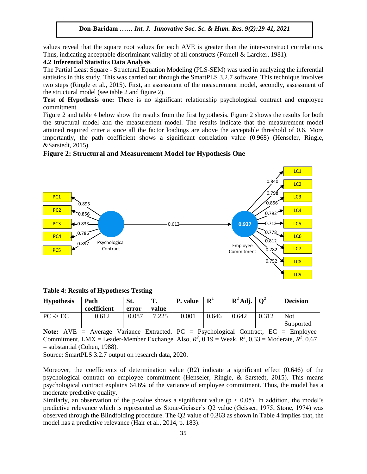values reveal that the square root values for each AVE is greater than the inter-construct correlations. Thus, indicating acceptable discriminant validity of all constructs (Fornell & Larcker, 1981).

## **4.2 Inferential Statistics Data Analysis Analysis Analysis**

The Partial Least Square - Structural Equation Modeling (PLS-SEM) was used in analyzing the inferential statistics in this study. This was carried out through the SmartPLS 3.2.7 software. This technique involves two steps (Ringle et al., 2015). First, an assessment of the measurement model, secondly, assessment of the structural model (see table 2 and figure 2).

**Test of Hypothesis one:** There is no significant relationship psychological contract and employee commitment

Figure 2 and table 4 below show the results from the first hypothesis. Figure 2 shows the results for both the structural model and the measurement model. The results indicate that the measurement model attained required criteria since all the factor loadings are above the acceptable threshold of 0.6. More importantly, the path coefficient shows a significant correlation value (0.968) (Henseler, Ringle, &Sarstedt, 2015).

## **Figure 2: Structural and Measurement Model for Hypothesis One**



**Table 4: Results of Hypotheses Testing** 

| <b>Hypothesis</b>                                                                                          | Path                           | St. | Т. | P. value | $\mathbf{R}^2$ | $\mathbf{R}^2$ Adj. $\mathbf{Q}^2$ |  | <b>Decision</b> |  |  |  |
|------------------------------------------------------------------------------------------------------------|--------------------------------|-----|----|----------|----------------|------------------------------------|--|-----------------|--|--|--|
| coefficient<br>value<br>error                                                                              |                                |     |    |          |                |                                    |  |                 |  |  |  |
| 7.225<br>0.087<br>0.001<br>0.612<br>0.642<br>0.312<br><b>Not</b><br>$PC \rightarrow EC$<br>0.646           |                                |     |    |          |                |                                    |  |                 |  |  |  |
| Supported                                                                                                  |                                |     |    |          |                |                                    |  |                 |  |  |  |
| <b>Note:</b> AVE = Average Variance Extracted. PC = Psychological Contract, $EC =$ Employee                |                                |     |    |          |                |                                    |  |                 |  |  |  |
| Commitment, LMX = Leader-Member Exchange. Also, $R^2$ , 0.19 = Weak, $R^2$ , 0.33 = Moderate, $R^2$ , 0.67 |                                |     |    |          |                |                                    |  |                 |  |  |  |
|                                                                                                            | $=$ substantial (Cohen, 1988). |     |    |          |                |                                    |  |                 |  |  |  |

Source: SmartPLS 3.2.7 output on research data, 2020.

Moreover, the coefficients of determination value (R2) indicate a significant effect (0.646) of the psychological contract on employee commitment (Henseler, Ringle, & Sarstedt, 2015). This means psychological contract explains 64.6% of the variance of employee commitment. Thus, the model has a moderate predictive quality.

Similarly, an observation of the p-value shows a significant value ( $p < 0.05$ ). In addition, the model's predictive relevance which is represented as Stone-Geisser"s Q2 value (Geisser, 1975; Stone, 1974) was observed through the Blindfolding procedure. The Q2 value of 0.363 as shown in Table 4 implies that, the model has a predictive relevance (Hair et al., 2014, p. 183).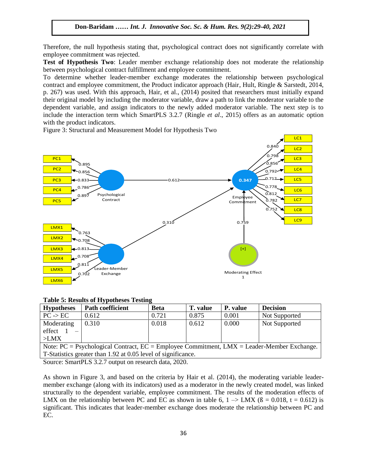Therefore, the null hypothesis stating that, psychological contract does not significantly correlate with employee commitment was rejected. byee communent was rejected.<br>Contract the Terms of Human Society Society Society Society Society Society Society Society Society Society So

**Test of Hypothesis Two**: Leader member exchange relationship does not moderate the relationship between psychological contract fulfillment and employee commitment.

To determine whether leader-member exchange moderates the relationship between psychological contract and employee commitment, the Product indicator approach (Hair, Hult, Ringle & Sarstedt, 2014, p. 267) was used. With this approach, Hair, et al., (2014) posited that researchers must initially expand their original model by including the moderator variable, draw a path to link the moderator variable to the dependent variable, and assign indicators to the newly added moderator variable. The next step is to include the interaction term which SmartPLS 3.2.7 (Ringle *et al.*, 2015) offers as an automatic option with the product indicators.

Figure 3: Structural and Measurement Model for Hypothesis Two



#### **Table 5: Results of Hypotheses Testing**

| Path coefficient<br>P. value<br><b>Decision</b><br><b>Hypotheses</b><br><b>Beta</b><br><b>T.</b> value            |  |  |  |  |  |  |  |  |  |  |  |
|-------------------------------------------------------------------------------------------------------------------|--|--|--|--|--|--|--|--|--|--|--|
| 0.721<br>$PC \rightarrow EC$<br>0.875<br>0.612<br>0.001<br>Not Supported                                          |  |  |  |  |  |  |  |  |  |  |  |
| 0.018<br>0.310<br>0.000<br>Moderating<br>0.612<br>Not Supported                                                   |  |  |  |  |  |  |  |  |  |  |  |
| effect                                                                                                            |  |  |  |  |  |  |  |  |  |  |  |
| >LMX                                                                                                              |  |  |  |  |  |  |  |  |  |  |  |
| Note: $PC = \text{Psychological Contract}, EC = \text{Employee commitment}, LMX = \text{Leader-Member Exchange}.$ |  |  |  |  |  |  |  |  |  |  |  |
| T-Statistics greater than 1.92 at 0.05 level of significance.                                                     |  |  |  |  |  |  |  |  |  |  |  |

Source: SmartPLS 3.2.7 output on research data, 2020.

As shown in Figure 3, and based on the criteria by Hair et al. (2014), the moderating variable leadermember exchange (along with its indicators) used as a moderator in the newly created model, was linked structurally to the dependent variable, employee commitment. The results of the moderation effects of LMX on the relationship between PC and EC as shown in table 6,  $1 \rightarrow$  LMX ( $\beta$  = 0.018, t = 0.612) is significant. This indicates that leader-member exchange does moderate the relationship between PC and EC.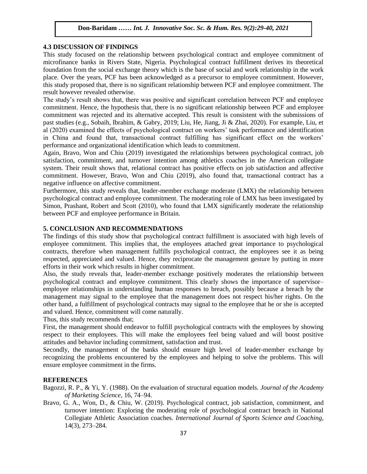### **4.3 DISCUSSION OF FINDINGS**

This study focused on the relationship between psychological contract and employee commitment of microfinance banks in Rivers State, Nigeria. Psychological contract fulfillment derives its theoretical microfinance banks in Rivers State, Nigeria. Psychological contract fulfillment derives its theoretical foundation from the social exchange theory which is the base of social and work relationship in the work place. Over the years, PCF has been acknowledged as a precursor to employee commitment. However, this study proposed that, there is no significant relationship between PCF and employee commitment. The result however revealed otherwise. result however revealed otherwise.

The study"s result shows that, there was positive and significant correlation between PCF and employee commitment. Hence, the hypothesis that, there is no significant relationship between PCF and employee commitment was rejected and its alternative accepted. This result is consistent with the submissions of bommanent was rejected and no anemative accepted. This result is consistent while the submissions of past studies (e.g., Sobaih, Ibrahim, & Gabry, 2019; Liu, He, Jiang, Ji & Zhai, 2020). For example, Liu, et al (2020) examined the effects of psychological contract on workers" task performance and identification in China and found that, transactional contract fulfilling has significant effect on the workers" performance and organizational identification which leads to commitment.

performance and organizational racintrication which reads to communicate.<br>Again, Bravo, Won and Chiu (2019) investigated the relationships between psychological contract, job satisfaction, commitment, and turnover intention among athletics coaches in the American collegiate system. Their result shows that, relational contract has positive effects on job satisfaction and affective commitment. However, Bravo, Won and Chiu (2019), also found that, transactional contract has a bommathem. Trowber, Brave, Won and Chile (2012), also found anal, all negative influence on affective commitment.

Furthermore, this study reveals that, leader-member exchange moderate (LMX) the relationship between psychological contract and employee commitment. The moderating role of LMX has been investigated by Simon, Prashant, Robert and Scott (2010), who found that LMX significantly moderate the relationship between PCF and employee performance in Britain.

## **5. CONCLUSION AND RECOMMENDATIONS**

The findings of this study show that psychological contract fulfillment is associated with high levels of employee commitment. This implies that, the employees attached great importance to psychological contracts, therefore when management fulfills psychological contract, the employees see it as being respected, appreciated and valued. Hence, they reciprocate the management gesture by putting in more efforts in their work which results in higher commitment.

Also, the study reveals that, leader-member exchange positively moderates the relationship between psychological contract and employee commitment. This clearly shows the importance of supervisor– employee relationships in understanding human responses to breach, possibly because a breach by the management may signal to the employee that the management does not respect his/her rights. On the other hand, a fulfillment of psychological contracts may signal to the employee that he or she is accepted and valued. Hence, commitment will come naturally.

Thus, this study recommends that;

First, the management should endeavor to fulfill psychological contracts with the employees by showing respect to their employees. This will make the employees feel being valued and will boost positive attitudes and behavior including commitment, satisfaction and trust.

Secondly, the management of the banks should ensure high level of leader-member exchange by recognizing the problems encountered by the employees and helping to solve the problems. This will ensure employee commitment in the firms.

## **REFERENCES**

Bagozzi, R. P., & Yi, Y. (1988). On the evaluation of structural equation models. *Journal of the Academy of Marketing Science*, 16, 74–94.

Bravo, G. A., Won, D., & Chiu, W. (2019). Psychological contract, job satisfaction, commitment, and turnover intention: Exploring the moderating role of psychological contract breach in National Collegiate Athletic Association coaches. *International Journal of Sports Science and Coaching*, 14(3), 273–284.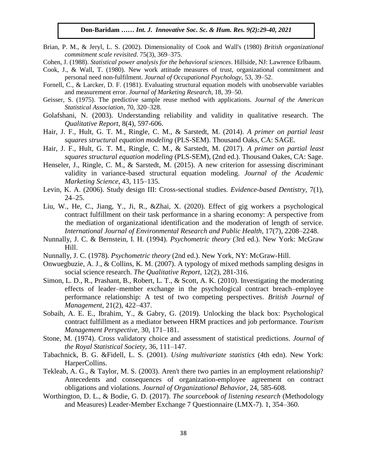- Brian, P. M., & Jeryl, L. S. (2002). Dimensionality of Cook and Wall's (1980) *British organizational commitment scale revisited*. 75(3), 369–375.
- Cohen, J. (1988). Statistical power analysis for the behavioral sciences. Hillside, NJ: Lawrence Erlbaum.
- Cook, J., & Wall, T. (1980). New work attitude measures of trust, organizational commitment and personal need non-fulfilment. *Journal of Occupational Psychology*, 53, 39–52.
- Fornell, C., & Larcker, D. F. (1981). Evaluating structural equation models with unobservable variables and measurement error. *Journal of Marketing Research*, 18, 39–50.
- Geisser, S. (1975). The predictive sample reuse method with applications. *Journal of the American Statistical Association*, 70, 320–328.
- Golafshani, N. (2003). Understanding reliability and validity in qualitative research. The *Qualitative Report*, 8(4), 597-606.
- Hair, J. F., Hult, G. T. M., Ringle, C. M., & Sarstedt, M. (2014). *A primer on partial least squares structural equation modeling* (PLS-SEM). Thousand Oaks, CA: SAGE.
- Hair, J. F., Hult, G. T. M., Ringle, C. M., & Sarstedt, M. (2017). *A primer on partial least squares structural equation modeling* (PLS-SEM), (2nd ed.). Thousand Oakes, CA: Sage.
- Henseler, J., Ringle, C. M., & Sarstedt, M. (2015). A new criterion for assessing discriminant validity in variance-based structural equation modeling. *Journal of the Academic Marketing Science*, 43, 115–135.
- Levin, K. A. (2006). Study design III: Cross-sectional studies. *Evidence-based Dentistry*, 7(1), 24–25.
- Liu, W., He, C., Jiang, Y., Ji, R., &Zhai, X. (2020). Effect of gig workers a psychological contract fulfillment on their task performance in a sharing economy: A perspective from the mediation of organizational identification and the moderation of length of service. *International Journal of Environmental Research and Public Health*, 17(7), 2208–2248.
- Nunnally, J. C. & Bernstein, I. H. (1994). *Psychometric theory* (3rd ed.). New York: McGraw Hill.
- Nunnally, J. C. (1978). *Psychometric theory* (2nd ed.). New York, NY: McGraw-Hill.
- Onwuegbuzie, A. J., & Collins, K. M. (2007). A typology of mixed methods sampling designs in social science research. *The Qualitative Report*, 12(2), 281-316.
- Simon, L. D., R., Prashant, B., Robert, L. T., & Scott, A. K. (2010). Investigating the moderating effects of leader–member exchange in the psychological contract breach–employee performance relationship: A test of two competing perspectives. *British Journal of Management*, 21(2), 422–437.
- Sobaih, A. E. E., Ibrahim, Y., & Gabry, G. (2019). Unlocking the black box: Psychological contract fulfillment as a mediator between HRM practices and job performance. *Tourism Management Perspective*, 30, 171–181.
- Stone, M. (1974). Cross validatory choice and assessment of statistical predictions. *Journal of the Royal Statistical Society*, 36, 111–147.
- Tabachnick, B. G. &Fidell, L. S. (2001). *Using multivariate statistics* (4th edn). New York: HarperCollins.
- Tekleab, A. G., & Taylor, M. S. (2003). Aren't there two parties in an employment relationship? Antecedents and consequences of organization-employee agreement on contract obligations and violations. *Journal of Organizational Behavior*, 24, 585-608.
- Worthington, D. L., & Bodie, G. D. (2017). *The sourcebook of listening research* (Methodology and Measures) Leader-Member Exchange 7 Questionnaire (LMX-7). 1, 354–360.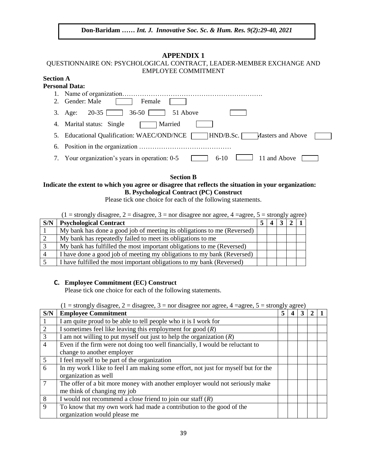## **APPENDIX 1**

## QUESTIONNAIRE ON: PSYCHOLOGICAL CONTRACT, LEADER-MEMBER EXCHANGE AND EMPLOYEE COMMITMENT

#### **Section A Personal Data:**

|    | u svuai izaia.                                                                   |
|----|----------------------------------------------------------------------------------|
|    |                                                                                  |
|    | Gender: Male<br>Female                                                           |
| 3. | $20-35$<br>$36-50$ [<br>51 Above<br>Age:                                         |
| 4. | Marital status: Single<br>Married                                                |
|    | <b>Educational Qualification: WAEC/OND/NCE</b><br>HND/B.Sc.<br>Masters and Above |
| 6. |                                                                                  |
| 7. | Your organization's years in operation: 0-5<br>11 and Above<br>$6-10$            |

**Section B**

## **Indicate the extent to which you agree or disagree that reflects the situation in your organization: B. Psychological Contract (PC) Construct**

Please tick one choice for each of the following statements.

|     | $(1 =$ strongly disagree, 2 = disagree, 3 = nor disagree nor agree, 4 = agree, 5 = strongly agree) |  |  |  |
|-----|----------------------------------------------------------------------------------------------------|--|--|--|
| S/N | <b>Psychological Contract</b>                                                                      |  |  |  |
|     | My bank has done a good job of meeting its obligations to me (Reversed)                            |  |  |  |
|     | My bank has repeatedly failed to meet its obligations to me                                        |  |  |  |
|     | My bank has fulfilled the most important obligations to me (Reversed)                              |  |  |  |
|     | I have done a good job of meeting my obligations to my bank (Reversed)                             |  |  |  |

5 I have fulfilled the most important obligations to my bank (Reversed)

## **C. Employee Commitment (EC) Construct**

Please tick one choice for each of the following statements.

|  |  |  | $(1 =$ strongly disagree, $2 =$ disagree, $3 =$ nor disagree nor agree, $4 =$ agree, $5 =$ strongly agree) |  |  |  |  |  |  |
|--|--|--|------------------------------------------------------------------------------------------------------------|--|--|--|--|--|--|
|--|--|--|------------------------------------------------------------------------------------------------------------|--|--|--|--|--|--|

| S/N            | <b>Employee Commitment</b>                                                         | 5 |  |  |
|----------------|------------------------------------------------------------------------------------|---|--|--|
|                | I am quite proud to be able to tell people who it is I work for                    |   |  |  |
| 2              | I sometimes feel like leaving this employment for good $(R)$                       |   |  |  |
| 3              | I am not willing to put myself out just to help the organization $(R)$             |   |  |  |
| $\overline{4}$ | Even if the firm were not doing too well financially, I would be reluctant to      |   |  |  |
|                | change to another employer                                                         |   |  |  |
| 5              | I feel myself to be part of the organization                                       |   |  |  |
| 6              | In my work I like to feel I am making some effort, not just for myself but for the |   |  |  |
|                | organization as well                                                               |   |  |  |
| $\overline{7}$ | The offer of a bit more money with another employer would not seriously make       |   |  |  |
|                | me think of changing my job                                                        |   |  |  |
| 8              | I would not recommend a close friend to join our staff $(R)$                       |   |  |  |
| 9              | To know that my own work had made a contribution to the good of the                |   |  |  |
|                | organization would please me                                                       |   |  |  |